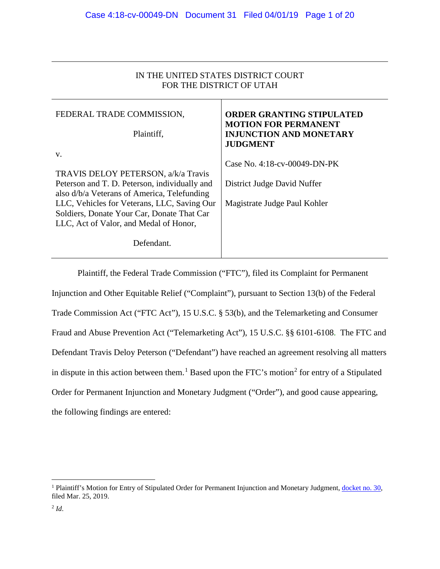| IN THE UNITED STATES DISTRICT COURT |
|-------------------------------------|
| FOR THE DISTRICT OF UTAH            |

| FEDERAL TRADE COMMISSION,<br>Plaintiff,                                                                                                                                                                                                                                                        | <b>ORDER GRANTING STIPULATED</b><br><b>MOTION FOR PERMANENT</b><br><b>INJUNCTION AND MONETARY</b><br><b>JUDGMENT</b> |
|------------------------------------------------------------------------------------------------------------------------------------------------------------------------------------------------------------------------------------------------------------------------------------------------|----------------------------------------------------------------------------------------------------------------------|
| V.<br>TRAVIS DELOY PETERSON, a/k/a Travis<br>Peterson and T. D. Peterson, individually and<br>also d/b/a Veterans of America, Telefunding<br>LLC, Vehicles for Veterans, LLC, Saving Our<br>Soldiers, Donate Your Car, Donate That Car<br>LLC, Act of Valor, and Medal of Honor,<br>Defendant. | Case No. 4:18-cv-00049-DN-PK<br>District Judge David Nuffer<br>Magistrate Judge Paul Kohler                          |

Plaintiff, the Federal Trade Commission ("FTC"), filed its Complaint for Permanent Injunction and Other Equitable Relief ("Complaint"), pursuant to Section 13(b) of the Federal Trade Commission Act ("FTC Act"), 15 U.S.C. § 53(b), and the Telemarketing and Consumer Fraud and Abuse Prevention Act ("Telemarketing Act"), 15 U.S.C. §§ 6101-6108. The FTC and Defendant Travis Deloy Peterson ("Defendant") have reached an agreement resolving all matters in dispute in this action between them.<sup>[1](#page-0-0)</sup> Based upon the FTC's motion<sup>[2](#page-0-1)</sup> for entry of a Stipulated Order for Permanent Injunction and Monetary Judgment ("Order"), and good cause appearing, the following findings are entered:

<span id="page-0-1"></span><span id="page-0-0"></span> $\overline{a}$ <sup>1</sup> Plaintiff's Motion for Entry of Stipulated Order for Permanent Injunction and Monetary Judgment, [docket no. 30,](https://ecf.utd.uscourts.gov/doc1/18314593448) filed Mar. 25, 2019.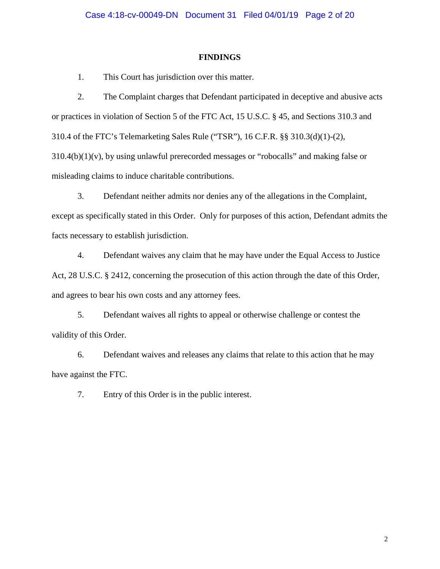### **FINDINGS**

1. This Court has jurisdiction over this matter.

2. The Complaint charges that Defendant participated in deceptive and abusive acts or practices in violation of Section 5 of the FTC Act, 15 U.S.C. § 45, and Sections 310.3 and 310.4 of the FTC's Telemarketing Sales Rule ("TSR"), 16 C.F.R. §§ 310.3(d)(1)-(2), 310.4(b)(1)(v), by using unlawful prerecorded messages or "robocalls" and making false or misleading claims to induce charitable contributions.

3. Defendant neither admits nor denies any of the allegations in the Complaint, except as specifically stated in this Order. Only for purposes of this action, Defendant admits the facts necessary to establish jurisdiction.

4. Defendant waives any claim that he may have under the Equal Access to Justice Act, 28 U.S.C. § 2412, concerning the prosecution of this action through the date of this Order, and agrees to bear his own costs and any attorney fees.

5. Defendant waives all rights to appeal or otherwise challenge or contest the validity of this Order.

6. Defendant waives and releases any claims that relate to this action that he may have against the FTC.

7. Entry of this Order is in the public interest.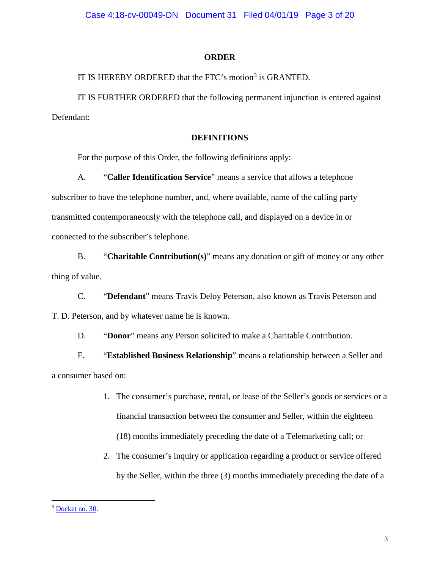### **ORDER**

IT IS HEREBY ORDERED that the FTC's motion<sup>[3](#page-2-0)</sup> is GRANTED.

IT IS FURTHER ORDERED that the following permanent injunction is entered against Defendant:

### **DEFINITIONS**

For the purpose of this Order, the following definitions apply:

A. "**Caller Identification Service**" means a service that allows a telephone subscriber to have the telephone number, and, where available, name of the calling party transmitted contemporaneously with the telephone call, and displayed on a device in or connected to the subscriber's telephone.

B. "**Charitable Contribution(s)**" means any donation or gift of money or any other thing of value.

C. "**Defendant**" means Travis Deloy Peterson, also known as Travis Peterson and T. D. Peterson, and by whatever name he is known.

D. "**Donor**" means any Person solicited to make a Charitable Contribution.

E. "**Established Business Relationship**" means a relationship between a Seller and a consumer based on:

- 1. The consumer's purchase, rental, or lease of the Seller's goods or services or a financial transaction between the consumer and Seller, within the eighteen (18) months immediately preceding the date of a Telemarketing call; or
- 2. The consumer's inquiry or application regarding a product or service offered by the Seller, within the three (3) months immediately preceding the date of a

<span id="page-2-0"></span><sup>&</sup>lt;sup>3</sup> [Docket no. 30.](https://ecf.utd.uscourts.gov/doc1/18314593448)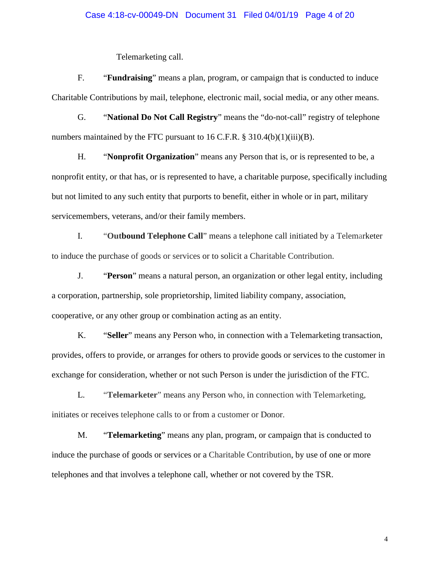### Case 4:18-cv-00049-DN Document 31 Filed 04/01/19 Page 4 of 20

Telemarketing call.

F. "**Fundraising**" means a plan, program, or campaign that is conducted to induce Charitable Contributions by mail, telephone, electronic mail, social media, or any other means.

G. "**National Do Not Call Registry**" means the "do-not-call" registry of telephone numbers maintained by the FTC pursuant to 16 C.F.R.  $\S$  310.4(b)(1)(iii)(B).

H. "**Nonprofit Organization**" means any Person that is, or is represented to be, a nonprofit entity, or that has, or is represented to have, a charitable purpose, specifically including but not limited to any such entity that purports to benefit, either in whole or in part, military servicemembers, veterans, and/or their family members.

I. "**Outbound Telephone Call**" means a telephone call initiated by a Telemarketer to induce the purchase of goods or services or to solicit a Charitable Contribution.

J. "**Person**" means a natural person, an organization or other legal entity, including a corporation, partnership, sole proprietorship, limited liability company, association, cooperative, or any other group or combination acting as an entity.

K. "**Seller**" means any Person who, in connection with a Telemarketing transaction, provides, offers to provide, or arranges for others to provide goods or services to the customer in exchange for consideration, whether or not such Person is under the jurisdiction of the FTC.

L. "**Telemarketer**" means any Person who, in connection with Telemarketing, initiates or receives telephone calls to or from a customer or Donor.

M. "**Telemarketing**" means any plan, program, or campaign that is conducted to induce the purchase of goods or services or a Charitable Contribution, by use of one or more telephones and that involves a telephone call, whether or not covered by the TSR.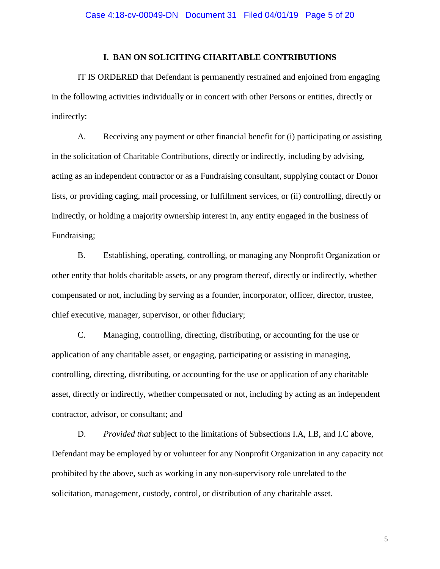### **I. BAN ON SOLICITING CHARITABLE CONTRIBUTIONS**

IT IS ORDERED that Defendant is permanently restrained and enjoined from engaging in the following activities individually or in concert with other Persons or entities, directly or indirectly:

A. Receiving any payment or other financial benefit for (i) participating or assisting in the solicitation of Charitable Contributions, directly or indirectly, including by advising, acting as an independent contractor or as a Fundraising consultant, supplying contact or Donor lists, or providing caging, mail processing, or fulfillment services, or (ii) controlling, directly or indirectly, or holding a majority ownership interest in, any entity engaged in the business of Fundraising;

B. Establishing, operating, controlling, or managing any Nonprofit Organization or other entity that holds charitable assets, or any program thereof, directly or indirectly, whether compensated or not, including by serving as a founder, incorporator, officer, director, trustee, chief executive, manager, supervisor, or other fiduciary;

C. Managing, controlling, directing, distributing, or accounting for the use or application of any charitable asset, or engaging, participating or assisting in managing, controlling, directing, distributing, or accounting for the use or application of any charitable asset, directly or indirectly, whether compensated or not, including by acting as an independent contractor, advisor, or consultant; and

D. *Provided that* subject to the limitations of Subsections I.A, I.B, and I.C above, Defendant may be employed by or volunteer for any Nonprofit Organization in any capacity not prohibited by the above, such as working in any non-supervisory role unrelated to the solicitation, management, custody, control, or distribution of any charitable asset.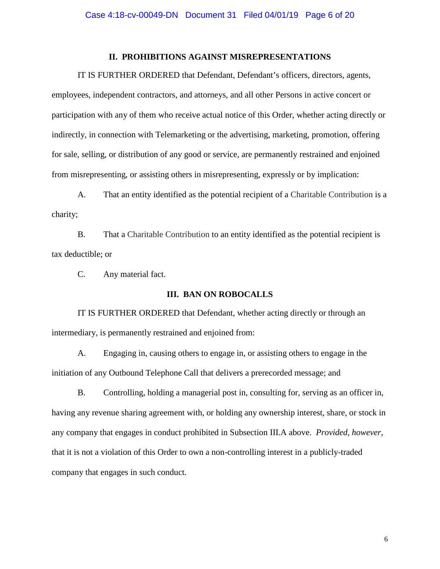# **II. PROHIBITIONS AGAINST MISREPRESENTATIONS**

IT IS FURTHER ORDERED that Defendant, Defendant's officers, directors, agents, employees, independent contractors, and attorneys, and all other Persons in active concert or participation with any of them who receive actual notice of this Order, whether acting directly or indirectly, in connection with Telemarketing or the advertising, marketing, promotion, offering for sale, selling, or distribution of any good or service, are permanently restrained and enjoined from misrepresenting, or assisting others in misrepresenting, expressly or by implication:

A. That an entity identified as the potential recipient of a Charitable Contribution is a charity;

B. That a Charitable Contribution to an entity identified as the potential recipient is tax deductible; or

C. Any material fact.

# **III. BAN ON ROBOCALLS**

IT IS FURTHER ORDERED that Defendant, whether acting directly or through an intermediary, is permanently restrained and enjoined from:

A. Engaging in, causing others to engage in, or assisting others to engage in the initiation of any Outbound Telephone Call that delivers a prerecorded message; and

B. Controlling, holding a managerial post in, consulting for, serving as an officer in, having any revenue sharing agreement with, or holding any ownership interest, share, or stock in any company that engages in conduct prohibited in Subsection III.A above. *Provided, however*, that it is not a violation of this Order to own a non-controlling interest in a publicly-traded company that engages in such conduct.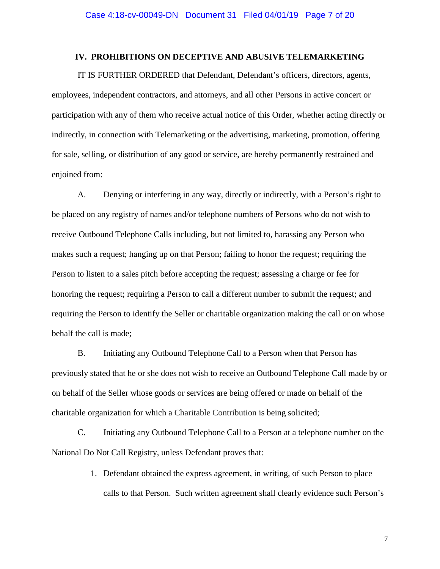# **IV. PROHIBITIONS ON DECEPTIVE AND ABUSIVE TELEMARKETING**

IT IS FURTHER ORDERED that Defendant, Defendant's officers, directors, agents, employees, independent contractors, and attorneys, and all other Persons in active concert or participation with any of them who receive actual notice of this Order, whether acting directly or indirectly, in connection with Telemarketing or the advertising, marketing, promotion, offering for sale, selling, or distribution of any good or service, are hereby permanently restrained and enioined from:

A. Denying or interfering in any way, directly or indirectly, with a Person's right to be placed on any registry of names and/or telephone numbers of Persons who do not wish to receive Outbound Telephone Calls including, but not limited to, harassing any Person who makes such a request; hanging up on that Person; failing to honor the request; requiring the Person to listen to a sales pitch before accepting the request; assessing a charge or fee for honoring the request; requiring a Person to call a different number to submit the request; and requiring the Person to identify the Seller or charitable organization making the call or on whose behalf the call is made;

B. Initiating any Outbound Telephone Call to a Person when that Person has previously stated that he or she does not wish to receive an Outbound Telephone Call made by or on behalf of the Seller whose goods or services are being offered or made on behalf of the charitable organization for which a Charitable Contribution is being solicited;

C. Initiating any Outbound Telephone Call to a Person at a telephone number on the National Do Not Call Registry, unless Defendant proves that:

> 1. Defendant obtained the express agreement, in writing, of such Person to place calls to that Person. Such written agreement shall clearly evidence such Person's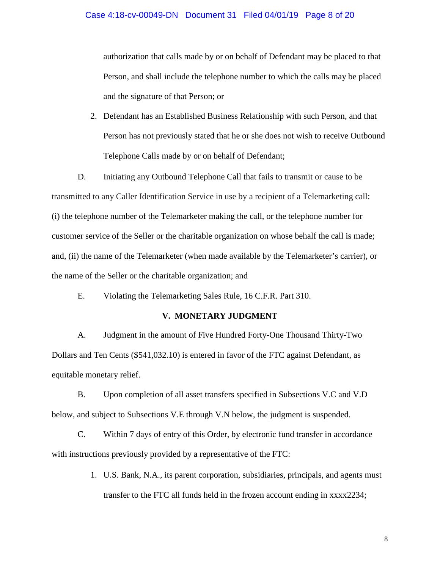authorization that calls made by or on behalf of Defendant may be placed to that Person, and shall include the telephone number to which the calls may be placed and the signature of that Person; or

2. Defendant has an Established Business Relationship with such Person, and that Person has not previously stated that he or she does not wish to receive Outbound Telephone Calls made by or on behalf of Defendant;

D. Initiating any Outbound Telephone Call that fails to transmit or cause to be transmitted to any Caller Identification Service in use by a recipient of a Telemarketing call: (i) the telephone number of the Telemarketer making the call, or the telephone number for customer service of the Seller or the charitable organization on whose behalf the call is made; and, (ii) the name of the Telemarketer (when made available by the Telemarketer's carrier), or the name of the Seller or the charitable organization; and

E. Violating the Telemarketing Sales Rule, 16 C.F.R. Part 310.

### **V. MONETARY JUDGMENT**

A. Judgment in the amount of Five Hundred Forty-One Thousand Thirty-Two Dollars and Ten Cents (\$541,032.10) is entered in favor of the FTC against Defendant, as equitable monetary relief.

B. Upon completion of all asset transfers specified in Subsections V.C and V.D below, and subject to Subsections V.E through V.N below, the judgment is suspended.

C. Within 7 days of entry of this Order, by electronic fund transfer in accordance with instructions previously provided by a representative of the FTC:

> 1. U.S. Bank, N.A., its parent corporation, subsidiaries, principals, and agents must transfer to the FTC all funds held in the frozen account ending in xxxx2234;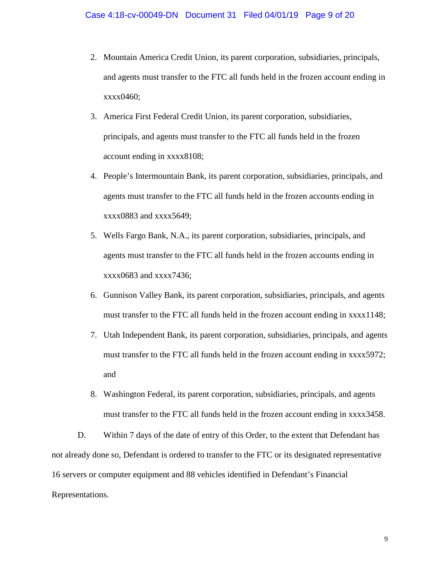- 2. Mountain America Credit Union, its parent corporation, subsidiaries, principals, and agents must transfer to the FTC all funds held in the frozen account ending in xxxx0460;
- 3. America First Federal Credit Union, its parent corporation, subsidiaries, principals, and agents must transfer to the FTC all funds held in the frozen account ending in xxxx8108;
- 4. People's Intermountain Bank, its parent corporation, subsidiaries, principals, and agents must transfer to the FTC all funds held in the frozen accounts ending in xxxx0883 and xxxx5649;
- 5. Wells Fargo Bank, N.A., its parent corporation, subsidiaries, principals, and agents must transfer to the FTC all funds held in the frozen accounts ending in xxxx0683 and xxxx7436;
- 6. Gunnison Valley Bank, its parent corporation, subsidiaries, principals, and agents must transfer to the FTC all funds held in the frozen account ending in xxxx1148;
- 7. Utah Independent Bank, its parent corporation, subsidiaries, principals, and agents must transfer to the FTC all funds held in the frozen account ending in xxxx5972; and
- 8. Washington Federal, its parent corporation, subsidiaries, principals, and agents must transfer to the FTC all funds held in the frozen account ending in xxxx3458.

D. Within 7 days of the date of entry of this Order, to the extent that Defendant has not already done so, Defendant is ordered to transfer to the FTC or its designated representative 16 servers or computer equipment and 88 vehicles identified in Defendant's Financial Representations.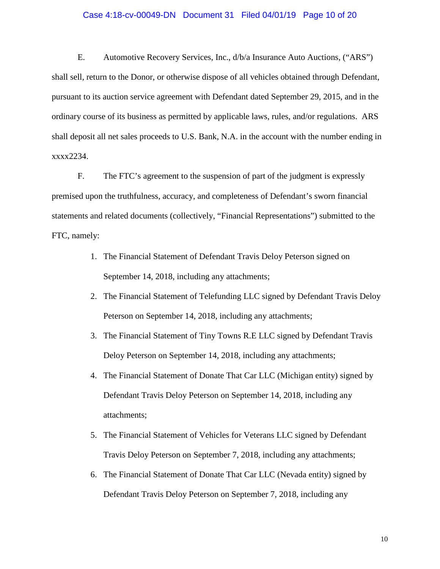### Case 4:18-cv-00049-DN Document 31 Filed 04/01/19 Page 10 of 20

E. Automotive Recovery Services, Inc., d/b/a Insurance Auto Auctions, ("ARS") shall sell, return to the Donor, or otherwise dispose of all vehicles obtained through Defendant, pursuant to its auction service agreement with Defendant dated September 29, 2015, and in the ordinary course of its business as permitted by applicable laws, rules, and/or regulations. ARS shall deposit all net sales proceeds to U.S. Bank, N.A. in the account with the number ending in xxxx2234.

F. The FTC's agreement to the suspension of part of the judgment is expressly premised upon the truthfulness, accuracy, and completeness of Defendant's sworn financial statements and related documents (collectively, "Financial Representations") submitted to the FTC, namely:

- 1. The Financial Statement of Defendant Travis Deloy Peterson signed on September 14, 2018, including any attachments;
- 2. The Financial Statement of Telefunding LLC signed by Defendant Travis Deloy Peterson on September 14, 2018, including any attachments;
- 3. The Financial Statement of Tiny Towns R.E LLC signed by Defendant Travis Deloy Peterson on September 14, 2018, including any attachments;
- 4. The Financial Statement of Donate That Car LLC (Michigan entity) signed by Defendant Travis Deloy Peterson on September 14, 2018, including any attachments;
- 5. The Financial Statement of Vehicles for Veterans LLC signed by Defendant Travis Deloy Peterson on September 7, 2018, including any attachments;
- 6. The Financial Statement of Donate That Car LLC (Nevada entity) signed by Defendant Travis Deloy Peterson on September 7, 2018, including any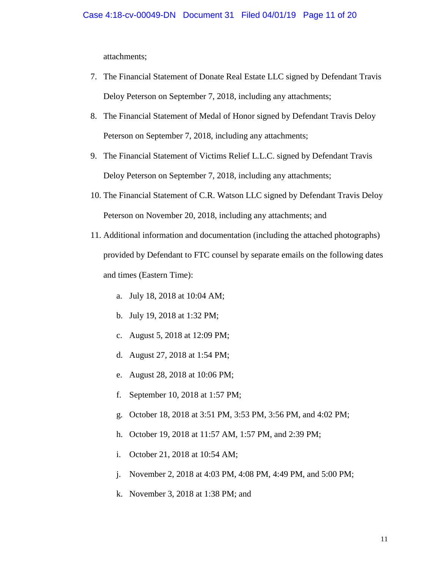attachments;

- 7. The Financial Statement of Donate Real Estate LLC signed by Defendant Travis Deloy Peterson on September 7, 2018, including any attachments;
- 8. The Financial Statement of Medal of Honor signed by Defendant Travis Deloy Peterson on September 7, 2018, including any attachments;
- 9. The Financial Statement of Victims Relief L.L.C. signed by Defendant Travis Deloy Peterson on September 7, 2018, including any attachments;
- 10. The Financial Statement of C.R. Watson LLC signed by Defendant Travis Deloy Peterson on November 20, 2018, including any attachments; and
- 11. Additional information and documentation (including the attached photographs) provided by Defendant to FTC counsel by separate emails on the following dates and times (Eastern Time):
	- a. July 18, 2018 at 10:04 AM;
	- b. July 19, 2018 at 1:32 PM;
	- c. August 5, 2018 at 12:09 PM;
	- d. August 27, 2018 at 1:54 PM;
	- e. August 28, 2018 at 10:06 PM;
	- f. September 10, 2018 at 1:57 PM;
	- g. October 18, 2018 at 3:51 PM, 3:53 PM, 3:56 PM, and 4:02 PM;
	- h. October 19, 2018 at 11:57 AM, 1:57 PM, and 2:39 PM;
	- i. October 21, 2018 at 10:54 AM;
	- j. November 2, 2018 at 4:03 PM, 4:08 PM, 4:49 PM, and 5:00 PM;
	- k. November 3, 2018 at 1:38 PM; and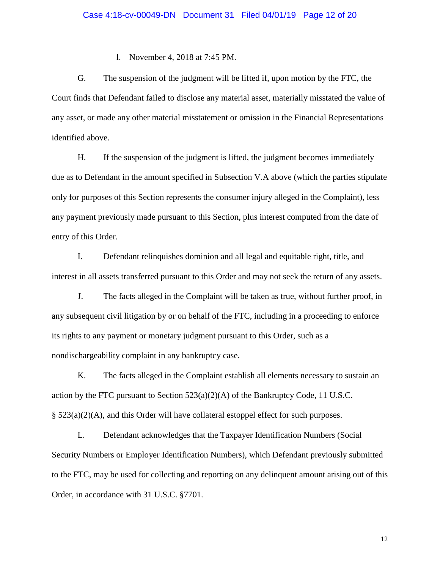#### l. November 4, 2018 at 7:45 PM.

G. The suspension of the judgment will be lifted if, upon motion by the FTC, the Court finds that Defendant failed to disclose any material asset, materially misstated the value of any asset, or made any other material misstatement or omission in the Financial Representations identified above.

H. If the suspension of the judgment is lifted, the judgment becomes immediately due as to Defendant in the amount specified in Subsection V.A above (which the parties stipulate only for purposes of this Section represents the consumer injury alleged in the Complaint), less any payment previously made pursuant to this Section, plus interest computed from the date of entry of this Order.

I. Defendant relinquishes dominion and all legal and equitable right, title, and interest in all assets transferred pursuant to this Order and may not seek the return of any assets.

J. The facts alleged in the Complaint will be taken as true, without further proof, in any subsequent civil litigation by or on behalf of the FTC, including in a proceeding to enforce its rights to any payment or monetary judgment pursuant to this Order, such as a nondischargeability complaint in any bankruptcy case.

K. The facts alleged in the Complaint establish all elements necessary to sustain an action by the FTC pursuant to Section  $523(a)(2)(A)$  of the Bankruptcy Code, 11 U.S.C. § 523(a)(2)(A), and this Order will have collateral estoppel effect for such purposes.

L. Defendant acknowledges that the Taxpayer Identification Numbers (Social Security Numbers or Employer Identification Numbers), which Defendant previously submitted to the FTC, may be used for collecting and reporting on any delinquent amount arising out of this Order, in accordance with 31 U.S.C. §7701.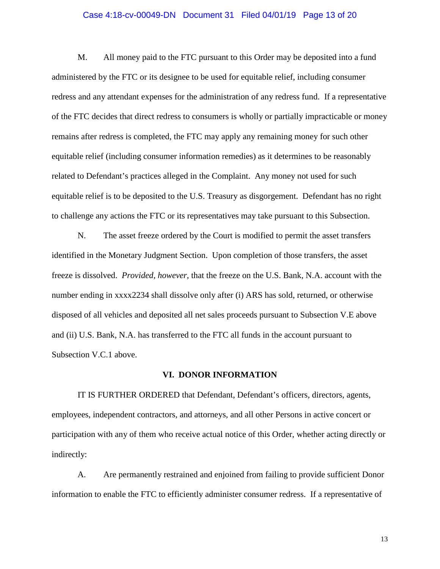### Case 4:18-cv-00049-DN Document 31 Filed 04/01/19 Page 13 of 20

M. All money paid to the FTC pursuant to this Order may be deposited into a fund administered by the FTC or its designee to be used for equitable relief, including consumer redress and any attendant expenses for the administration of any redress fund. If a representative of the FTC decides that direct redress to consumers is wholly or partially impracticable or money remains after redress is completed, the FTC may apply any remaining money for such other equitable relief (including consumer information remedies) as it determines to be reasonably related to Defendant's practices alleged in the Complaint. Any money not used for such equitable relief is to be deposited to the U.S. Treasury as disgorgement. Defendant has no right to challenge any actions the FTC or its representatives may take pursuant to this Subsection.

N. The asset freeze ordered by the Court is modified to permit the asset transfers identified in the Monetary Judgment Section. Upon completion of those transfers, the asset freeze is dissolved. *Provided, however,* that the freeze on the U.S. Bank, N.A. account with the number ending in xxxx2234 shall dissolve only after (i) ARS has sold, returned, or otherwise disposed of all vehicles and deposited all net sales proceeds pursuant to Subsection V.E above and (ii) U.S. Bank, N.A. has transferred to the FTC all funds in the account pursuant to Subsection V.C.1 above.

# **VI. DONOR INFORMATION**

IT IS FURTHER ORDERED that Defendant, Defendant's officers, directors, agents, employees, independent contractors, and attorneys, and all other Persons in active concert or participation with any of them who receive actual notice of this Order, whether acting directly or indirectly:

A. Are permanently restrained and enjoined from failing to provide sufficient Donor information to enable the FTC to efficiently administer consumer redress. If a representative of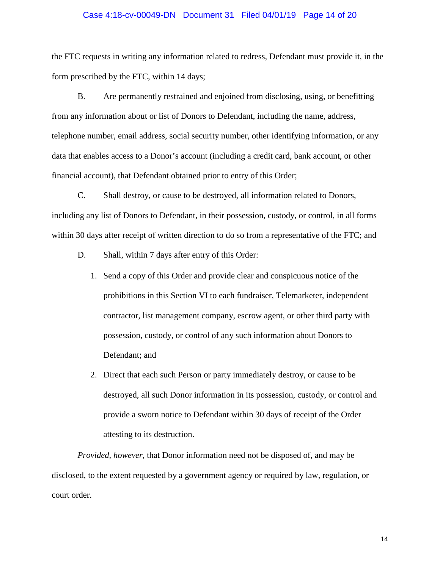### Case 4:18-cv-00049-DN Document 31 Filed 04/01/19 Page 14 of 20

the FTC requests in writing any information related to redress, Defendant must provide it, in the form prescribed by the FTC, within 14 days;

B. Are permanently restrained and enjoined from disclosing, using, or benefitting from any information about or list of Donors to Defendant, including the name, address, telephone number, email address, social security number, other identifying information, or any data that enables access to a Donor's account (including a credit card, bank account, or other financial account), that Defendant obtained prior to entry of this Order;

C. Shall destroy, or cause to be destroyed, all information related to Donors, including any list of Donors to Defendant, in their possession, custody, or control, in all forms within 30 days after receipt of written direction to do so from a representative of the FTC; and

- D. Shall, within 7 days after entry of this Order:
	- 1. Send a copy of this Order and provide clear and conspicuous notice of the prohibitions in this Section VI to each fundraiser, Telemarketer, independent contractor, list management company, escrow agent, or other third party with possession, custody, or control of any such information about Donors to Defendant; and
	- 2. Direct that each such Person or party immediately destroy, or cause to be destroyed, all such Donor information in its possession, custody, or control and provide a sworn notice to Defendant within 30 days of receipt of the Order attesting to its destruction.

*Provided, however*, that Donor information need not be disposed of, and may be disclosed, to the extent requested by a government agency or required by law, regulation, or court order.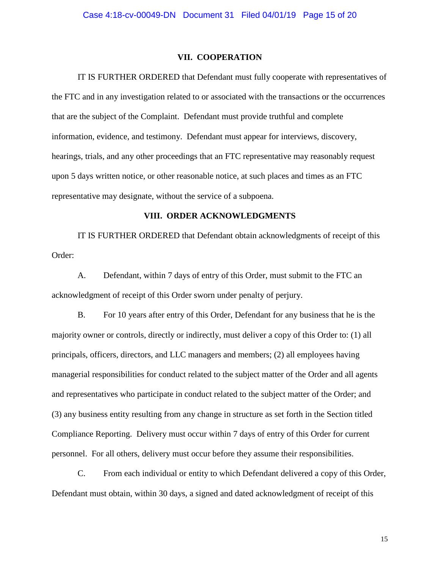#### **VII. COOPERATION**

IT IS FURTHER ORDERED that Defendant must fully cooperate with representatives of the FTC and in any investigation related to or associated with the transactions or the occurrences that are the subject of the Complaint. Defendant must provide truthful and complete information, evidence, and testimony. Defendant must appear for interviews, discovery, hearings, trials, and any other proceedings that an FTC representative may reasonably request upon 5 days written notice, or other reasonable notice, at such places and times as an FTC representative may designate, without the service of a subpoena.

### **VIII. ORDER ACKNOWLEDGMENTS**

IT IS FURTHER ORDERED that Defendant obtain acknowledgments of receipt of this Order:

A. Defendant, within 7 days of entry of this Order, must submit to the FTC an acknowledgment of receipt of this Order sworn under penalty of perjury.

B. For 10 years after entry of this Order, Defendant for any business that he is the majority owner or controls, directly or indirectly, must deliver a copy of this Order to: (1) all principals, officers, directors, and LLC managers and members; (2) all employees having managerial responsibilities for conduct related to the subject matter of the Order and all agents and representatives who participate in conduct related to the subject matter of the Order; and (3) any business entity resulting from any change in structure as set forth in the Section titled Compliance Reporting. Delivery must occur within 7 days of entry of this Order for current personnel. For all others, delivery must occur before they assume their responsibilities.

C. From each individual or entity to which Defendant delivered a copy of this Order, Defendant must obtain, within 30 days, a signed and dated acknowledgment of receipt of this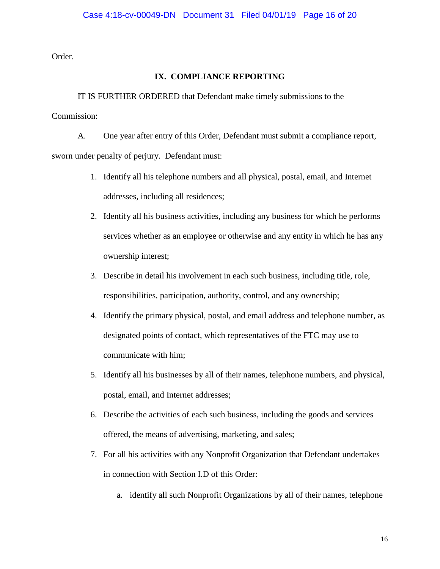Order.

# **IX. COMPLIANCE REPORTING**

IT IS FURTHER ORDERED that Defendant make timely submissions to the Commission:

A. One year after entry of this Order, Defendant must submit a compliance report, sworn under penalty of perjury. Defendant must:

- 1. Identify all his telephone numbers and all physical, postal, email, and Internet addresses, including all residences;
- 2. Identify all his business activities, including any business for which he performs services whether as an employee or otherwise and any entity in which he has any ownership interest;
- 3. Describe in detail his involvement in each such business, including title, role, responsibilities, participation, authority, control, and any ownership;
- 4. Identify the primary physical, postal, and email address and telephone number, as designated points of contact, which representatives of the FTC may use to communicate with him;
- 5. Identify all his businesses by all of their names, telephone numbers, and physical, postal, email, and Internet addresses;
- 6. Describe the activities of each such business, including the goods and services offered, the means of advertising, marketing, and sales;
- 7. For all his activities with any Nonprofit Organization that Defendant undertakes in connection with Section I.D of this Order:
	- a. identify all such Nonprofit Organizations by all of their names, telephone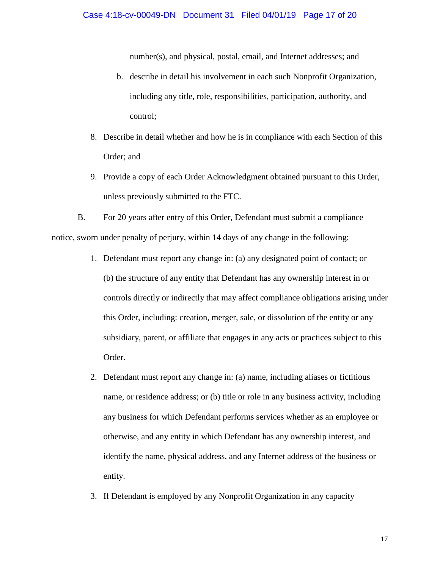number(s), and physical, postal, email, and Internet addresses; and

- b. describe in detail his involvement in each such Nonprofit Organization, including any title, role, responsibilities, participation, authority, and control;
- 8. Describe in detail whether and how he is in compliance with each Section of this Order; and
- 9. Provide a copy of each Order Acknowledgment obtained pursuant to this Order, unless previously submitted to the FTC.

B. For 20 years after entry of this Order, Defendant must submit a compliance notice, sworn under penalty of perjury, within 14 days of any change in the following:

- 1. Defendant must report any change in: (a) any designated point of contact; or (b) the structure of any entity that Defendant has any ownership interest in or controls directly or indirectly that may affect compliance obligations arising under this Order, including: creation, merger, sale, or dissolution of the entity or any subsidiary, parent, or affiliate that engages in any acts or practices subject to this Order.
- 2. Defendant must report any change in: (a) name, including aliases or fictitious name, or residence address; or (b) title or role in any business activity, including any business for which Defendant performs services whether as an employee or otherwise, and any entity in which Defendant has any ownership interest, and identify the name, physical address, and any Internet address of the business or entity.
- 3. If Defendant is employed by any Nonprofit Organization in any capacity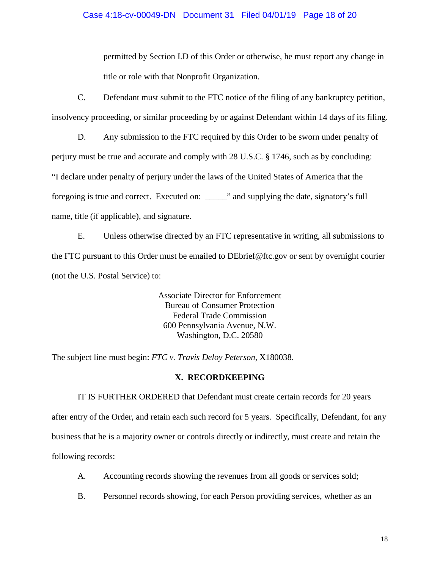### Case 4:18-cv-00049-DN Document 31 Filed 04/01/19 Page 18 of 20

permitted by Section I.D of this Order or otherwise, he must report any change in title or role with that Nonprofit Organization.

C. Defendant must submit to the FTC notice of the filing of any bankruptcy petition, insolvency proceeding, or similar proceeding by or against Defendant within 14 days of its filing.

D. Any submission to the FTC required by this Order to be sworn under penalty of perjury must be true and accurate and comply with 28 U.S.C. § 1746, such as by concluding: "I declare under penalty of perjury under the laws of the United States of America that the foregoing is true and correct. Executed on: \_\_\_\_\_" and supplying the date, signatory's full name, title (if applicable), and signature.

E. Unless otherwise directed by an FTC representative in writing, all submissions to the FTC pursuant to this Order must be emailed to DEbrief@ftc.gov or sent by overnight courier (not the U.S. Postal Service) to:

> Associate Director for Enforcement Bureau of Consumer Protection Federal Trade Commission 600 Pennsylvania Avenue, N.W. Washington, D.C. 20580

The subject line must begin: *FTC v. Travis Deloy Peterson*, X180038.

# **X. RECORDKEEPING**

IT IS FURTHER ORDERED that Defendant must create certain records for 20 years after entry of the Order, and retain each such record for 5 years. Specifically, Defendant, for any business that he is a majority owner or controls directly or indirectly, must create and retain the following records:

- A. Accounting records showing the revenues from all goods or services sold;
- B. Personnel records showing, for each Person providing services, whether as an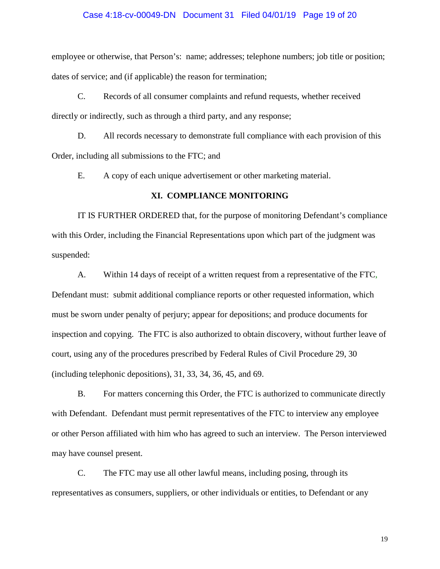### Case 4:18-cv-00049-DN Document 31 Filed 04/01/19 Page 19 of 20

employee or otherwise, that Person's: name; addresses; telephone numbers; job title or position; dates of service; and (if applicable) the reason for termination;

C. Records of all consumer complaints and refund requests, whether received directly or indirectly, such as through a third party, and any response;

D. All records necessary to demonstrate full compliance with each provision of this Order, including all submissions to the FTC; and

E. A copy of each unique advertisement or other marketing material.

### **XI. COMPLIANCE MONITORING**

IT IS FURTHER ORDERED that, for the purpose of monitoring Defendant's compliance with this Order, including the Financial Representations upon which part of the judgment was suspended:

A. Within 14 days of receipt of a written request from a representative of the FTC, Defendant must: submit additional compliance reports or other requested information, which must be sworn under penalty of perjury; appear for depositions; and produce documents for inspection and copying. The FTC is also authorized to obtain discovery, without further leave of court, using any of the procedures prescribed by Federal Rules of Civil Procedure 29, 30 (including telephonic depositions), 31, 33, 34, 36, 45, and 69.

B. For matters concerning this Order, the FTC is authorized to communicate directly with Defendant. Defendant must permit representatives of the FTC to interview any employee or other Person affiliated with him who has agreed to such an interview. The Person interviewed may have counsel present.

C. The FTC may use all other lawful means, including posing, through its representatives as consumers, suppliers, or other individuals or entities, to Defendant or any